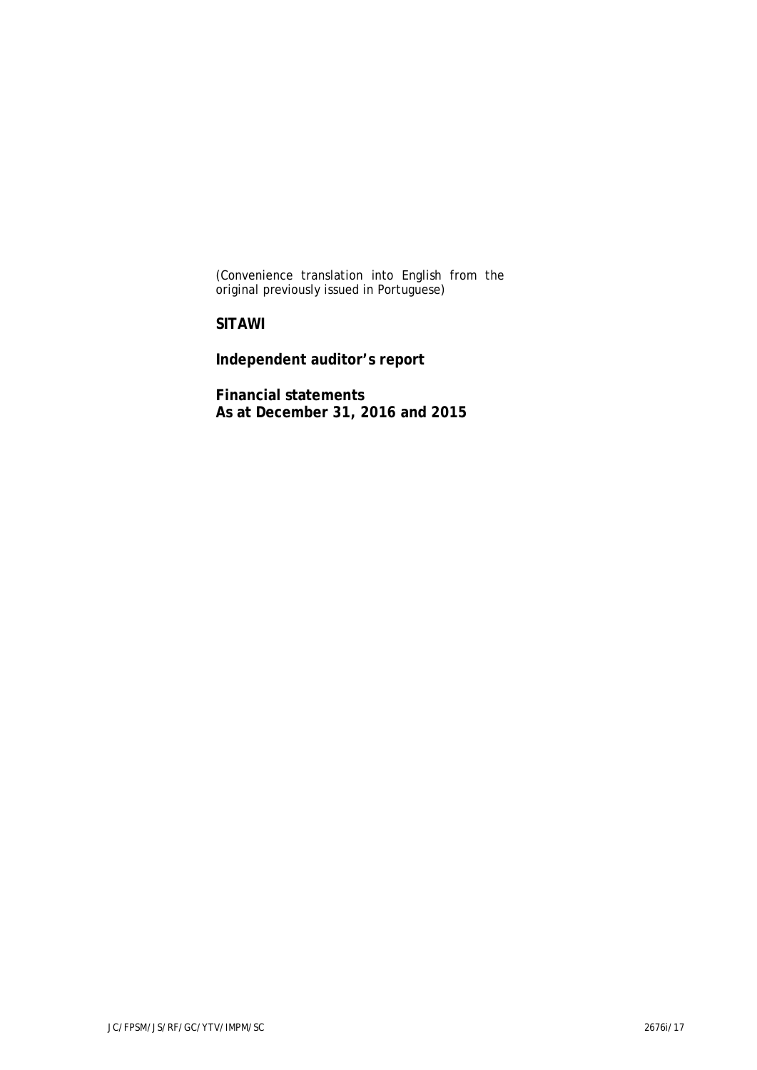(Convenience translation into English from the original previously issued in Portuguese)

**SITAWI**

**Independent auditor's report**

**Financial statements As at December 31, 2016 and 2015**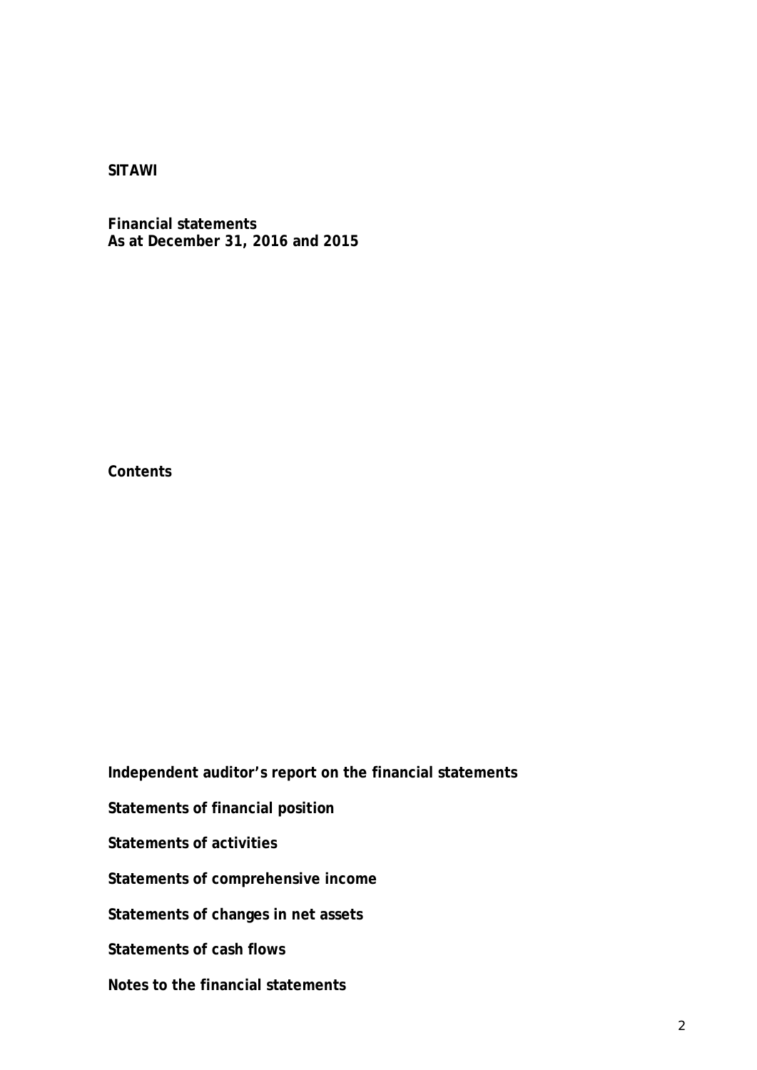**Financial statements As at December 31, 2016 and 2015**

**Contents**

**Independent auditor's report on the financial statements**

- **Statements of financial position**
- **Statements of activities**
- **Statements of comprehensive income**
- **Statements of changes in net assets**
- **Statements of cash flows**
- **Notes to the financial statements**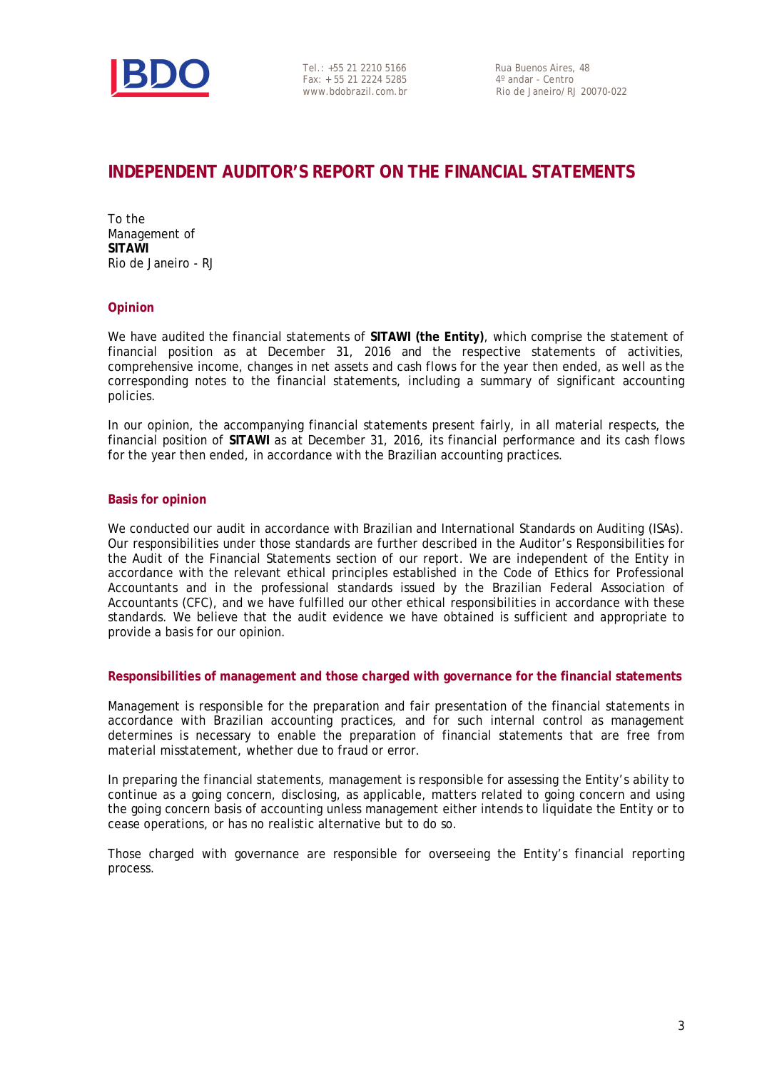

Tel.: +55 21 2210 5166 Rua Buenos Aires, 48 Fax: + 55 21 2224 5285 4º andar - Centro

## **INDEPENDENT AUDITOR'S REPORT ON THE FINANCIAL STATEMENTS**

To the Management of **SITAWI** Rio de Janeiro - RJ

#### **Opinion**

We have audited the financial statements of **SITAWI (the Entity)**, which comprise the statement of financial position as at December 31, 2016 and the respective statements of activities, comprehensive income, changes in net assets and cash flows for the year then ended, as well as the corresponding notes to the financial statements, including a summary of significant accounting policies.

In our opinion, the accompanying financial statements present fairly, in all material respects, the financial position of **SITAWI** as at December 31, 2016, its financial performance and its cash flows for the year then ended, in accordance with the Brazilian accounting practices.

#### **Basis for opinion**

We conducted our audit in accordance with Brazilian and International Standards on Auditing (ISAs). Our responsibilities under those standards are further described in the Auditor's Responsibilities for the Audit of the Financial Statements section of our report. We are independent of the Entity in accordance with the relevant ethical principles established in the Code of Ethics for Professional Accountants and in the professional standards issued by the Brazilian Federal Association of Accountants (CFC), and we have fulfilled our other ethical responsibilities in accordance with these standards. We believe that the audit evidence we have obtained is sufficient and appropriate to provide a basis for our opinion.

#### **Responsibilities of management and those charged with governance for the financial statements**

Management is responsible for the preparation and fair presentation of the financial statements in accordance with Brazilian accounting practices, and for such internal control as management determines is necessary to enable the preparation of financial statements that are free from material misstatement, whether due to fraud or error.

In preparing the financial statements, management is responsible for assessing the Entity's ability to continue as a going concern, disclosing, as applicable, matters related to going concern and using the going concern basis of accounting unless management either intends to liquidate the Entity or to cease operations, or has no realistic alternative but to do so.

Those charged with governance are responsible for overseeing the Entity's financial reporting process.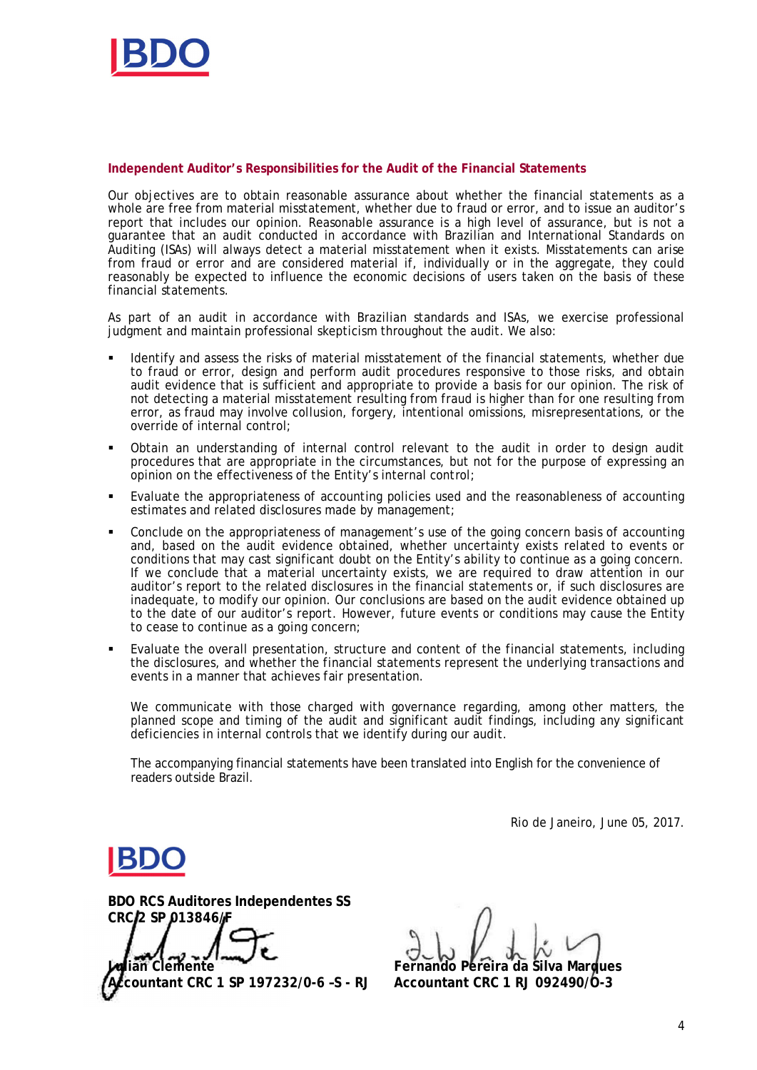

#### **Independent Auditor's Responsibilities for the Audit of the Financial Statements**

Our objectives are to obtain reasonable assurance about whether the financial statements as a whole are free from material misstatement, whether due to fraud or error, and to issue an auditor's report that includes our opinion. Reasonable assurance is a high level of assurance, but is not a guarantee that an audit conducted in accordance with Brazilian and International Standards on Auditing (ISAs) will always detect a material misstatement when it exists. Misstatements can arise from fraud or error and are considered material if, individually or in the aggregate, they could reasonably be expected to influence the economic decisions of users taken on the basis of these financial statements.

As part of an audit in accordance with Brazilian standards and ISAs, we exercise professional judgment and maintain professional skepticism throughout the audit. We also:

- § Identify and assess the risks of material misstatement of the financial statements, whether due to fraud or error, design and perform audit procedures responsive to those risks, and obtain audit evidence that is sufficient and appropriate to provide a basis for our opinion. The risk of not detecting a material misstatement resulting from fraud is higher than for one resulting from error, as fraud may involve collusion, forgery, intentional omissions, misrepresentations, or the override of internal control;
- § Obtain an understanding of internal control relevant to the audit in order to design audit procedures that are appropriate in the circumstances, but not for the purpose of expressing an opinion on the effectiveness of the Entity's internal control;
- Evaluate the appropriateness of accounting policies used and the reasonableness of accounting estimates and related disclosures made by management;
- § Conclude on the appropriateness of management's use of the going concern basis of accounting and, based on the audit evidence obtained, whether uncertainty exists related to events or conditions that may cast significant doubt on the Entity's ability to continue as a going concern. If we conclude that a material uncertainty exists, we are required to draw attention in our auditor's report to the related disclosures in the financial statements or, if such disclosures are inadequate, to modify our opinion. Our conclusions are based on the audit evidence obtained up to the date of our auditor's report. However, future events or conditions may cause the Entity to cease to continue as a going concern;
- Evaluate the overall presentation, structure and content of the financial statements, including the disclosures, and whether the financial statements represent the underlying transactions and events in a manner that achieves fair presentation.

We communicate with those charged with governance regarding, among other matters, the planned scope and timing of the audit and significant audit findings, including any significant deficiencies in internal controls that we identify during our audit.

The accompanying financial statements have been translated into English for the convenience of readers outside Brazil.

Rio de Janeiro, June 05, 2017.

**BDO RCS Auditores Independentes SS CRC 2 SP 013846/F**

**Accountant CRC 1 SP 197232/0-6 –S - RJ Accountant CRC 1 RJ 092490/O-3**

**Julian Clemente Fernando Pereira da Silva Marques**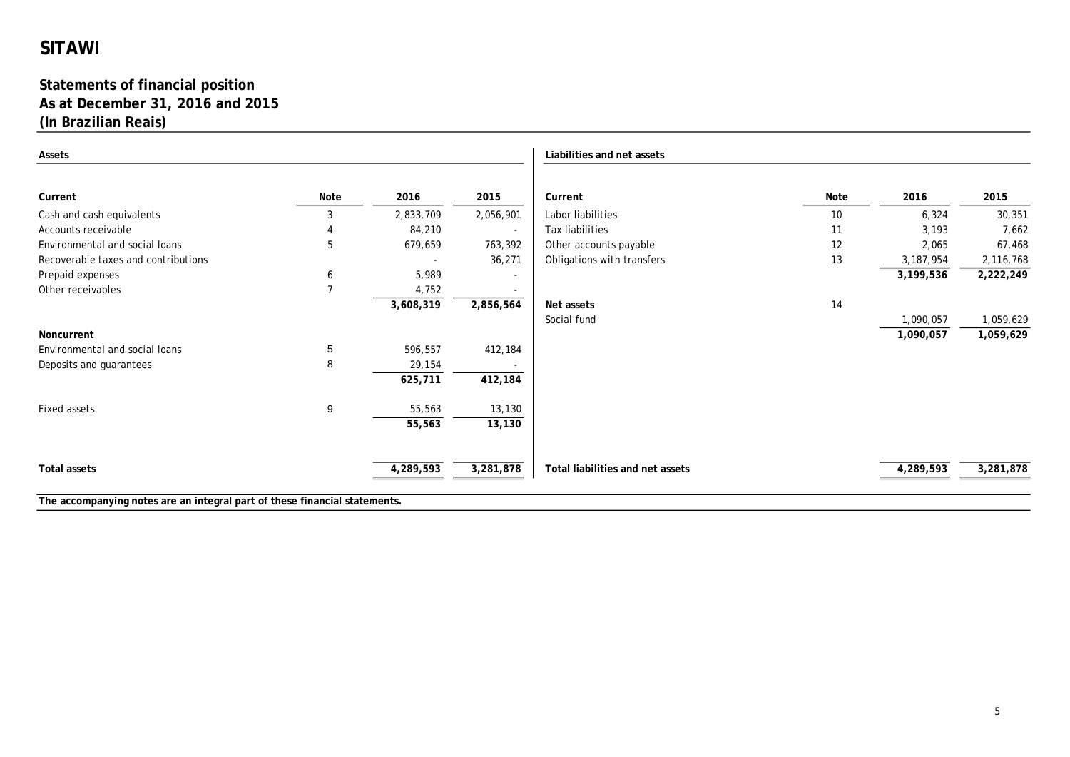### **Statements of financial position As at December 31, 2016 and 2015 (In Brazilian Reais)**

| Assets                                                                    |                |           |                          | Liabilities and net assets       |      |             |           |
|---------------------------------------------------------------------------|----------------|-----------|--------------------------|----------------------------------|------|-------------|-----------|
| Current                                                                   | Note           | 2016      | 2015                     | Current                          | Note | 2016        | 2015      |
| Cash and cash equivalents                                                 | 3              | 2,833,709 | 2,056,901                | Labor liabilities                | 10   | 6,324       | 30,351    |
| Accounts receivable                                                       |                | 84,210    | $\overline{\phantom{a}}$ | Tax liabilities                  | 11   | 3,193       | 7,662     |
| Environmental and social loans                                            | 5              | 679,659   | 763,392                  | Other accounts payable           | 12   | 2,065       | 67,468    |
| Recoverable taxes and contributions                                       |                |           | 36,271                   | Obligations with transfers       | 13   | 3, 187, 954 | 2,116,768 |
| Prepaid expenses                                                          | 6              | 5,989     |                          |                                  |      | 3,199,536   | 2,222,249 |
| Other receivables                                                         | $\overline{7}$ | 4,752     |                          |                                  |      |             |           |
|                                                                           |                | 3,608,319 | 2,856,564                | Net assets                       | 14   |             |           |
|                                                                           |                |           |                          | Social fund                      |      | 1,090,057   | 1,059,629 |
| Noncurrent                                                                |                |           |                          |                                  |      | 1,090,057   | 1,059,629 |
| Environmental and social loans                                            | 5              | 596,557   | 412,184                  |                                  |      |             |           |
| Deposits and guarantees                                                   | 8              | 29,154    |                          |                                  |      |             |           |
|                                                                           |                | 625,711   | 412,184                  |                                  |      |             |           |
| <b>Fixed assets</b>                                                       | 9              | 55,563    | 13,130                   |                                  |      |             |           |
|                                                                           |                | 55,563    | 13,130                   |                                  |      |             |           |
|                                                                           |                |           |                          |                                  |      |             |           |
| Total assets                                                              |                | 4,289,593 | 3,281,878                | Total liabilities and net assets |      | 4,289,593   | 3,281,878 |
| The accompanying notes are an integral part of these financial statements |                |           |                          |                                  |      |             |           |

**The accompanying notes are an integral part of these financial statements.**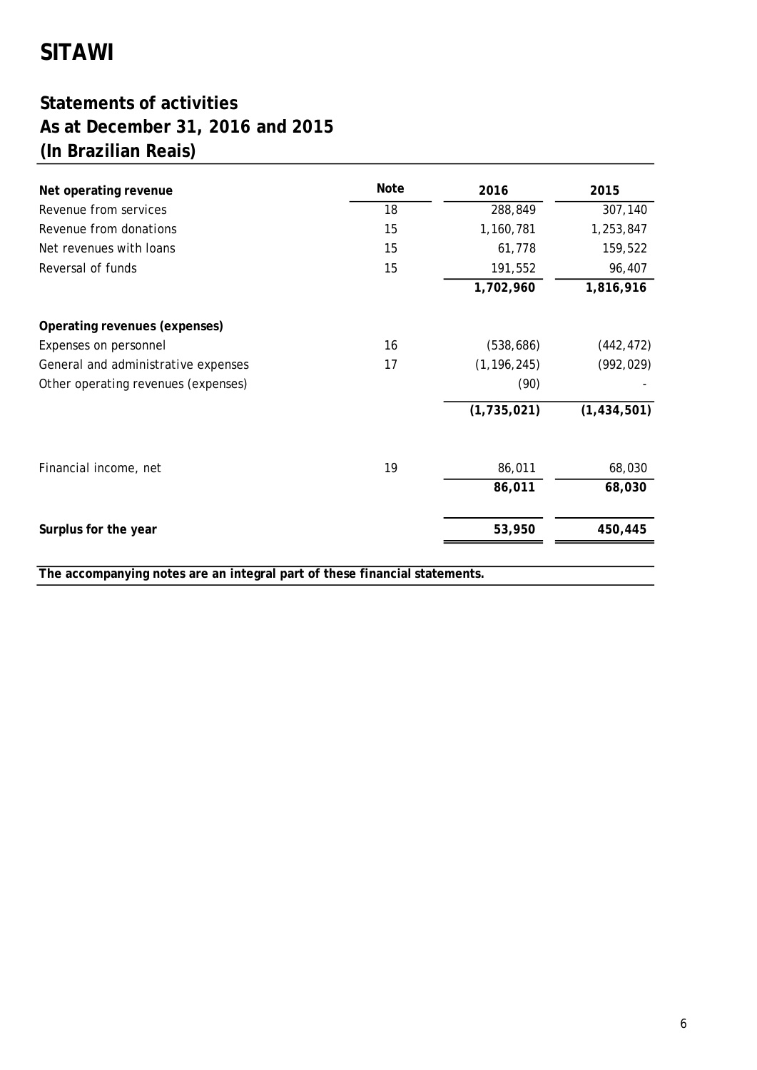# **Statements of activities As at December 31, 2016 and 2015 (In Brazilian Reais)**

| Net operating revenue                                                      | Note | 2016          | 2015          |
|----------------------------------------------------------------------------|------|---------------|---------------|
| Revenue from services                                                      | 18   | 288,849       | 307,140       |
| Revenue from donations                                                     | 15   | 1,160,781     | 1,253,847     |
| Net revenues with loans                                                    | 15   | 61,778        | 159,522       |
| Reversal of funds                                                          | 15   | 191,552       | 96,407        |
|                                                                            |      | 1,702,960     | 1,816,916     |
| Operating revenues (expenses)                                              |      |               |               |
| Expenses on personnel                                                      | 16   | (538, 686)    | (442, 472)    |
| General and administrative expenses                                        | 17   | (1, 196, 245) | (992, 029)    |
| Other operating revenues (expenses)                                        |      | (90)          |               |
|                                                                            |      | (1, 735, 021) | (1, 434, 501) |
| Financial income, net                                                      | 19   | 86,011        | 68,030        |
|                                                                            |      | 86,011        | 68,030        |
| Surplus for the year                                                       |      | 53,950        | 450,445       |
| The accompanying notes are an integral part of these financial statements. |      |               |               |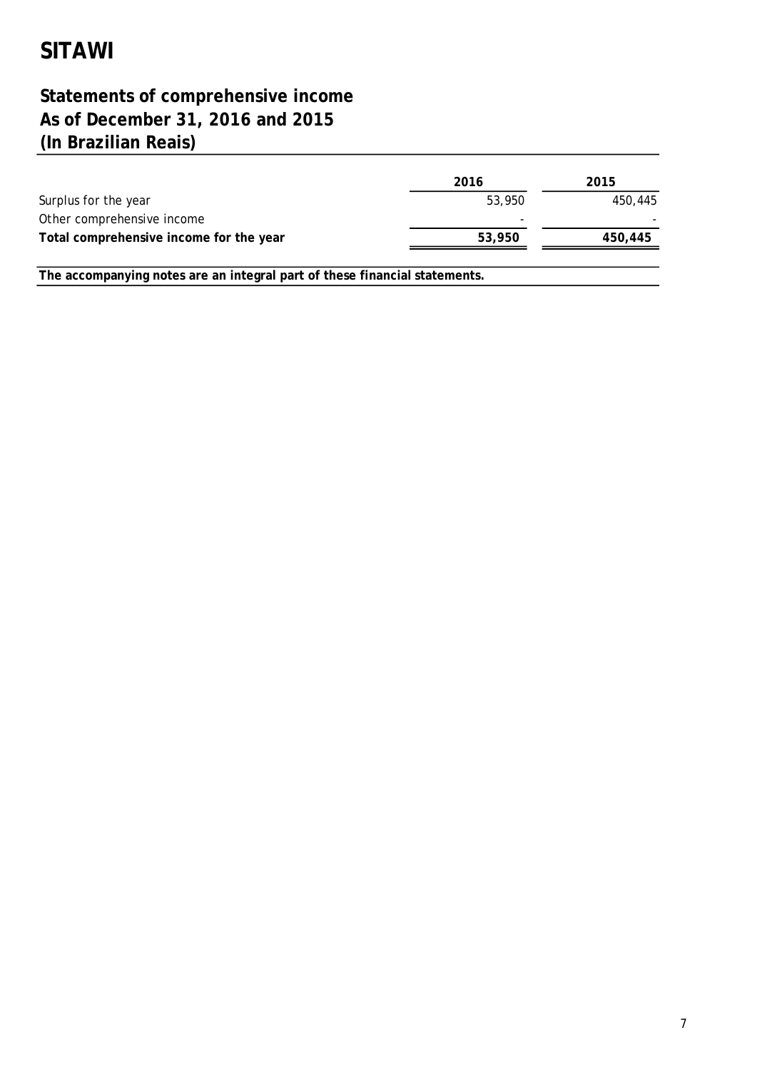# **(In Brazilian Reais) Statements of comprehensive income As of December 31, 2016 and 2015**

|                                         | 2016                     | 2015    |
|-----------------------------------------|--------------------------|---------|
| Surplus for the year                    | 53,950                   | 450,445 |
| Other comprehensive income              | $\overline{\phantom{0}}$ |         |
| Total comprehensive income for the year | 53,950                   | 450,445 |
|                                         |                          |         |

**The accompanying notes are an integral part of these financial statements.**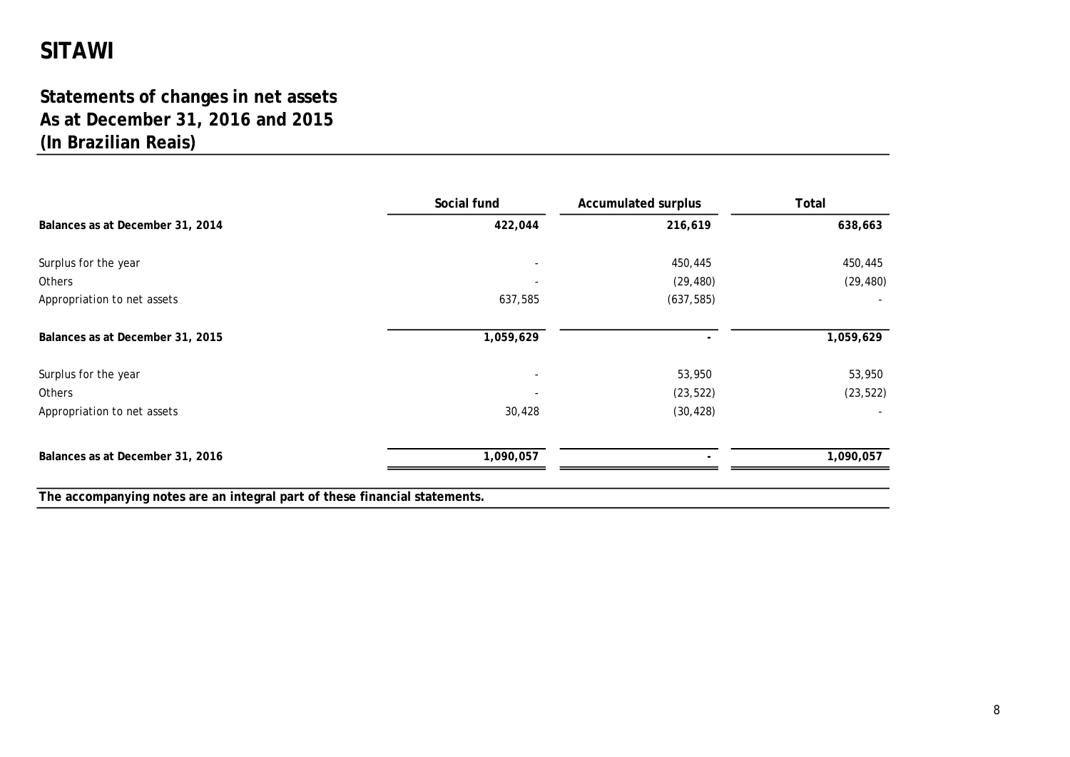# **Statements of changes in net assets As at December 31, 2016 and 2015 (In Brazilian Reais)**

|                                                                            | Social fund | Accumulated surplus | Total     |
|----------------------------------------------------------------------------|-------------|---------------------|-----------|
| Balances as at December 31, 2014                                           | 422,044     | 216,619             | 638,663   |
| Surplus for the year                                                       |             | 450,445             | 450,445   |
| Others                                                                     |             | (29, 480)           | (29, 480) |
| Appropriation to net assets                                                | 637,585     | (637, 585)          |           |
| Balances as at December 31, 2015                                           | 1,059,629   |                     | 1,059,629 |
| Surplus for the year                                                       |             | 53,950              | 53,950    |
| Others                                                                     |             | (23, 522)           | (23, 522) |
| Appropriation to net assets                                                | 30,428      | (30, 428)           |           |
| Balances as at December 31, 2016                                           | 1,090,057   |                     | 1,090,057 |
| The accompanying notes are an integral part of these financial statements. |             |                     |           |

8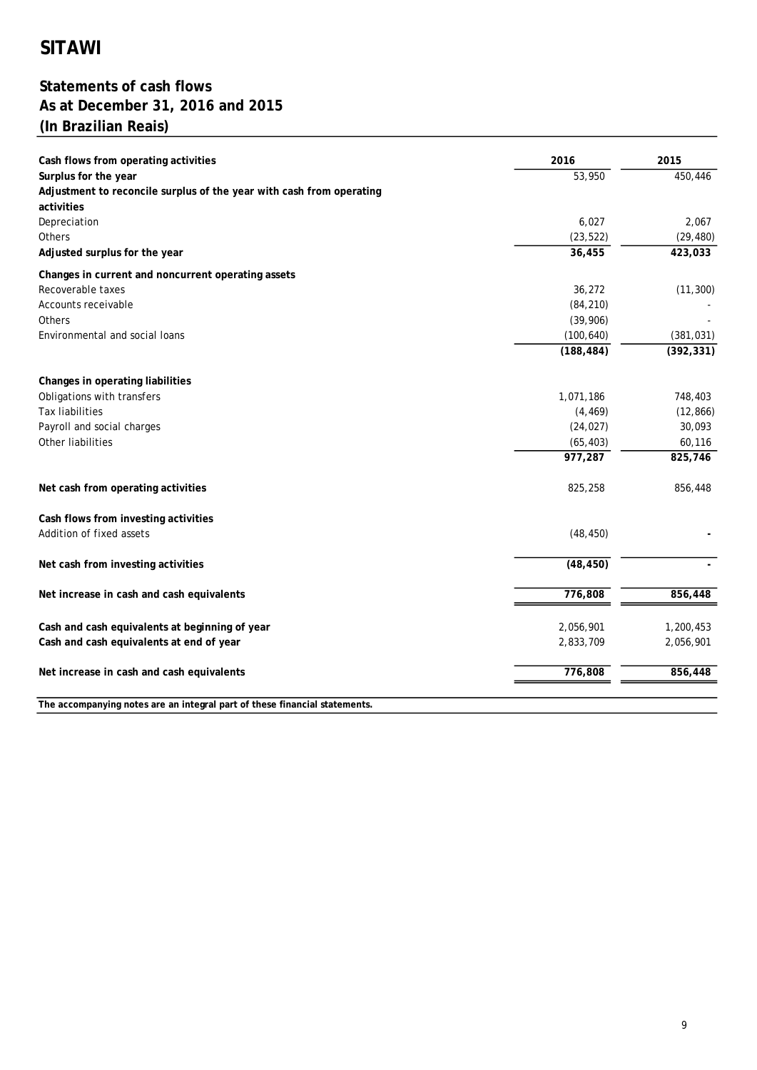## **Statements of cash flows As at December 31, 2016 and 2015 (In Brazilian Reais)**

| Surplus for the year                                                               |            |            |
|------------------------------------------------------------------------------------|------------|------------|
|                                                                                    | 53,950     | 450,446    |
| Adjustment to reconcile surplus of the year with cash from operating<br>activities |            |            |
| Depreciation                                                                       | 6,027      | 2,067      |
| Others                                                                             | (23, 522)  | (29, 480)  |
| Adjusted surplus for the year                                                      | 36,455     | 423,033    |
| Changes in current and noncurrent operating assets                                 |            |            |
| Recoverable taxes                                                                  | 36,272     | (11, 300)  |
| Accounts receivable                                                                | (84, 210)  |            |
| Others                                                                             | (39,906)   |            |
| Environmental and social loans                                                     | (100, 640) | (381, 031) |
|                                                                                    | (188, 484) | (392, 331) |
| Changes in operating liabilities                                                   |            |            |
| Obligations with transfers                                                         | 1,071,186  | 748,403    |
| <b>Tax liabilities</b>                                                             | (4, 469)   | (12, 866)  |
| Payroll and social charges                                                         | (24, 027)  | 30,093     |
| Other liabilities                                                                  | (65, 403)  | 60,116     |
|                                                                                    | 977,287    | 825,746    |
| Net cash from operating activities                                                 | 825,258    | 856,448    |
| Cash flows from investing activities                                               |            |            |
| Addition of fixed assets                                                           | (48, 450)  |            |
| Net cash from investing activities                                                 | (48, 450)  |            |
| Net increase in cash and cash equivalents                                          | 776,808    | 856,448    |
| Cash and cash equivalents at beginning of year                                     | 2,056,901  | 1,200,453  |
| Cash and cash equivalents at end of year                                           | 2,833,709  | 2,056,901  |
|                                                                                    |            |            |
| Net increase in cash and cash equivalents                                          | 776,808    | 856,448    |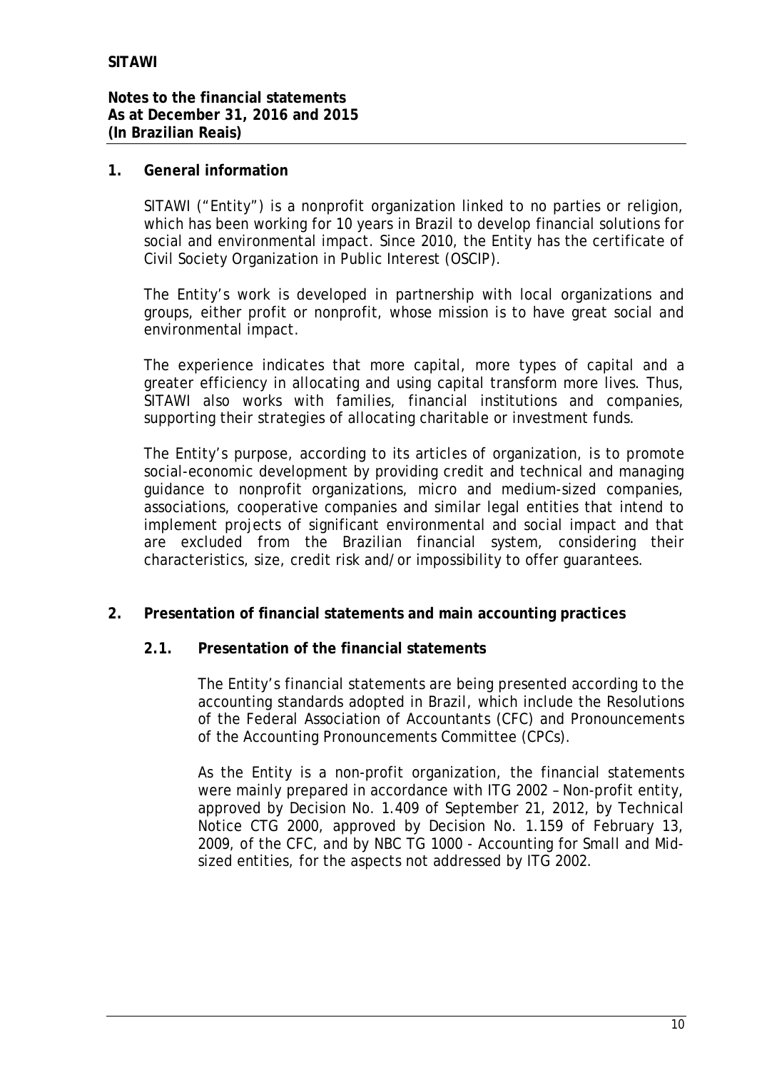#### **1. General information**

SITAWI ("Entity") is a nonprofit organization linked to no parties or religion, which has been working for 10 years in Brazil to develop financial solutions for social and environmental impact. Since 2010, the Entity has the certificate of Civil Society Organization in Public Interest (OSCIP).

The Entity's work is developed in partnership with local organizations and groups, either profit or nonprofit, whose mission is to have great social and environmental impact.

The experience indicates that more capital, more types of capital and a greater efficiency in allocating and using capital transform more lives. Thus, SITAWI also works with families, financial institutions and companies, supporting their strategies of allocating charitable or investment funds.

The Entity's purpose, according to its articles of organization, is to promote social-economic development by providing credit and technical and managing guidance to nonprofit organizations, micro and medium-sized companies, associations, cooperative companies and similar legal entities that intend to implement projects of significant environmental and social impact and that are excluded from the Brazilian financial system, considering their characteristics, size, credit risk and/or impossibility to offer guarantees.

- **2. Presentation of financial statements and main accounting practices**
	- **2.1. Presentation of the financial statements**

The Entity's financial statements are being presented according to the accounting standards adopted in Brazil, which include the Resolutions of the Federal Association of Accountants (CFC) and Pronouncements of the Accounting Pronouncements Committee (CPCs).

As the Entity is a non-profit organization, the financial statements were mainly prepared in accordance with ITG 2002 – Non-profit entity, approved by Decision No. 1.409 of September 21, 2012, by Technical Notice CTG 2000, approved by Decision No. 1.159 of February 13, 2009, of the CFC, and by NBC TG 1000 - Accounting for Small and Midsized entities, for the aspects not addressed by ITG 2002.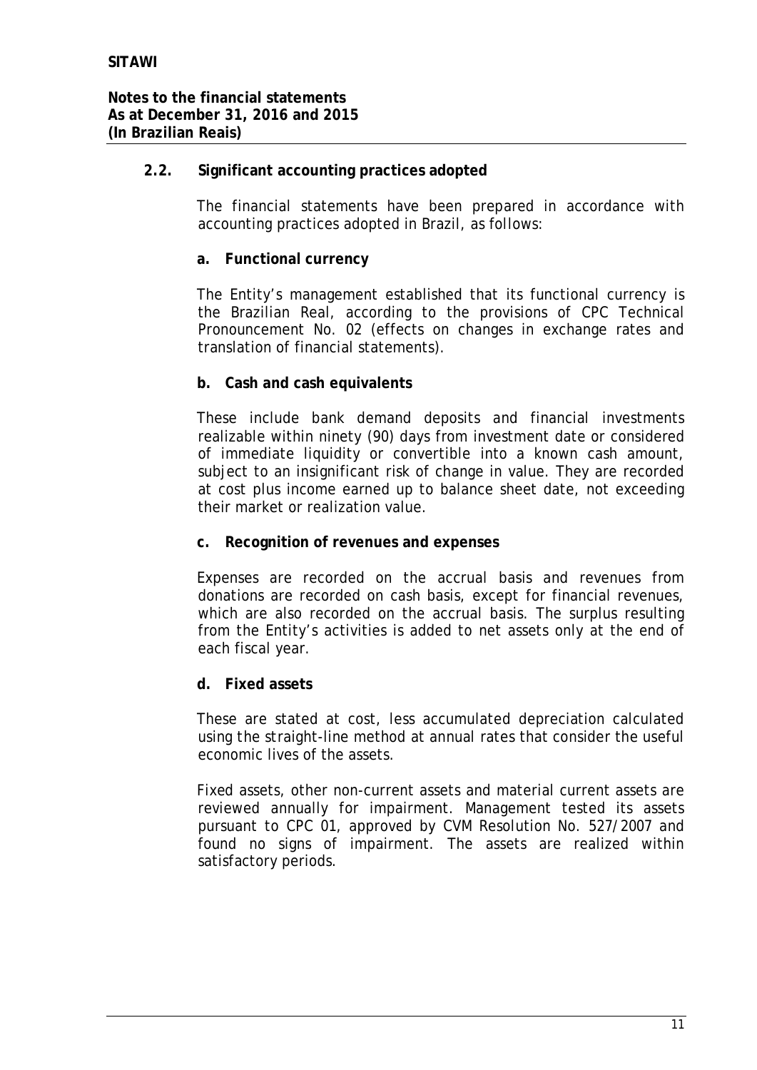### **2.2. Significant accounting practices adopted**

The financial statements have been prepared in accordance with accounting practices adopted in Brazil, as follows:

**a. Functional currency**

The Entity's management established that its functional currency is the Brazilian Real, according to the provisions of CPC Technical Pronouncement No. 02 (effects on changes in exchange rates and translation of financial statements).

**b. Cash and cash equivalents**

These include bank demand deposits and financial investments realizable within ninety (90) days from investment date or considered of immediate liquidity or convertible into a known cash amount, subject to an insignificant risk of change in value. They are recorded at cost plus income earned up to balance sheet date, not exceeding their market or realization value.

**c. Recognition of revenues and expenses**

Expenses are recorded on the accrual basis and revenues from donations are recorded on cash basis, except for financial revenues, which are also recorded on the accrual basis. The surplus resulting from the Entity's activities is added to net assets only at the end of each fiscal year.

**d. Fixed assets**

These are stated at cost, less accumulated depreciation calculated using the straight-line method at annual rates that consider the useful economic lives of the assets.

Fixed assets, other non-current assets and material current assets are reviewed annually for impairment. Management tested its assets pursuant to CPC 01, approved by CVM Resolution No. 527/2007 and found no signs of impairment. The assets are realized within satisfactory periods.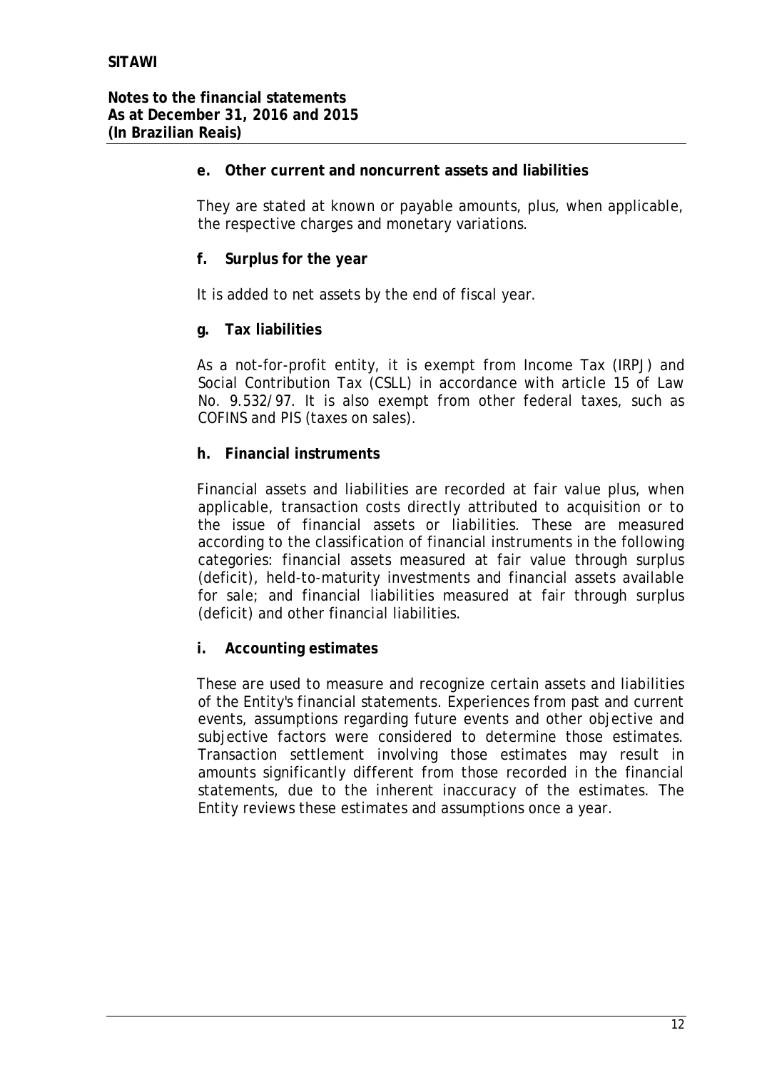**e. Other current and noncurrent assets and liabilities**

They are stated at known or payable amounts, plus, when applicable, the respective charges and monetary variations.

**f. Surplus for the year**

It is added to net assets by the end of fiscal year.

**g. Tax liabilities**

As a not-for-profit entity, it is exempt from Income Tax (IRPJ) and Social Contribution Tax (CSLL) in accordance with article 15 of Law No. 9.532/97. It is also exempt from other federal taxes, such as COFINS and PIS (taxes on sales).

**h. Financial instruments**

Financial assets and liabilities are recorded at fair value plus, when applicable, transaction costs directly attributed to acquisition or to the issue of financial assets or liabilities. These are measured according to the classification of financial instruments in the following categories: financial assets measured at fair value through surplus (deficit), held-to-maturity investments and financial assets available for sale; and financial liabilities measured at fair through surplus (deficit) and other financial liabilities.

**i. Accounting estimates**

These are used to measure and recognize certain assets and liabilities of the Entity's financial statements. Experiences from past and current events, assumptions regarding future events and other objective and subjective factors were considered to determine those estimates. Transaction settlement involving those estimates may result in amounts significantly different from those recorded in the financial statements, due to the inherent inaccuracy of the estimates. The Entity reviews these estimates and assumptions once a year.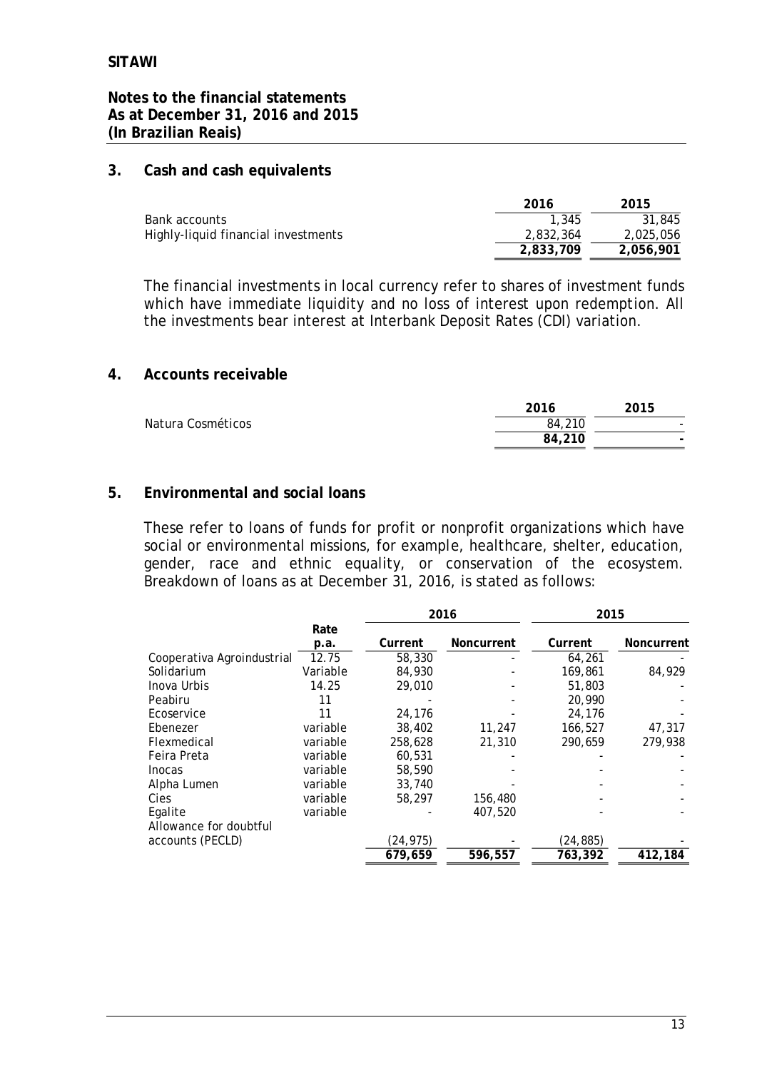**Notes to the financial statements As at December 31, 2016 and 2015 (In Brazilian Reais)**

#### **3. Cash and cash equivalents**

|                                     | 2016      | 2015      |
|-------------------------------------|-----------|-----------|
| Bank accounts                       | 1.345     | 31,845    |
| Highly-liquid financial investments | 2.832.364 | 2,025,056 |
|                                     | 2.833.709 | 2,056,901 |

The financial investments in local currency refer to shares of investment funds which have immediate liquidity and no loss of interest upon redemption. All the investments bear interest at Interbank Deposit Rates (CDI) variation.

#### **4. Accounts receivable**

|                   | 2016   | 2015 |
|-------------------|--------|------|
| Natura Cosméticos | 84,210 | -    |
|                   | 84,210 |      |
|                   |        |      |

#### **5. Environmental and social loans**

These refer to loans of funds for profit or nonprofit organizations which have social or environmental missions, for example, healthcare, shelter, education, gender, race and ethnic equality, or conservation of the ecosystem. Breakdown of loans as at December 31, 2016, is stated as follows:

|                            |          |           | 2016       | 2015     |            |
|----------------------------|----------|-----------|------------|----------|------------|
|                            | Rate     |           |            |          |            |
|                            | p.a.     | Current   | Noncurrent | Current  | Noncurrent |
| Cooperativa Agroindustrial | 12.75    | 58,330    |            | 64,261   |            |
| Solidarium                 | Variable | 84,930    |            | 169,861  | 84,929     |
| Inova Urbis                | 14.25    | 29,010    |            | 51,803   |            |
| Peabiru                    | 11       |           |            | 20,990   |            |
| Ecoservice                 | 11       | 24,176    |            | 24,176   |            |
| Ebenezer                   | variable | 38,402    | 11,247     | 166,527  | 47,317     |
| Flexmedical                | variable | 258,628   | 21,310     | 290.659  | 279,938    |
| Feira Preta                | variable | 60,531    |            |          |            |
| Inocas                     | variable | 58,590    |            |          |            |
| Alpha Lumen                | variable | 33,740    |            |          |            |
| <b>Cies</b>                | variable | 58,297    | 156,480    |          |            |
| Egalite                    | variable |           | 407,520    |          |            |
| Allowance for doubtful     |          |           |            |          |            |
| accounts (PECLD)           |          | (24, 975) |            | (24,885) |            |
|                            |          | 679,659   | 596,557    | 763,392  | 412,184    |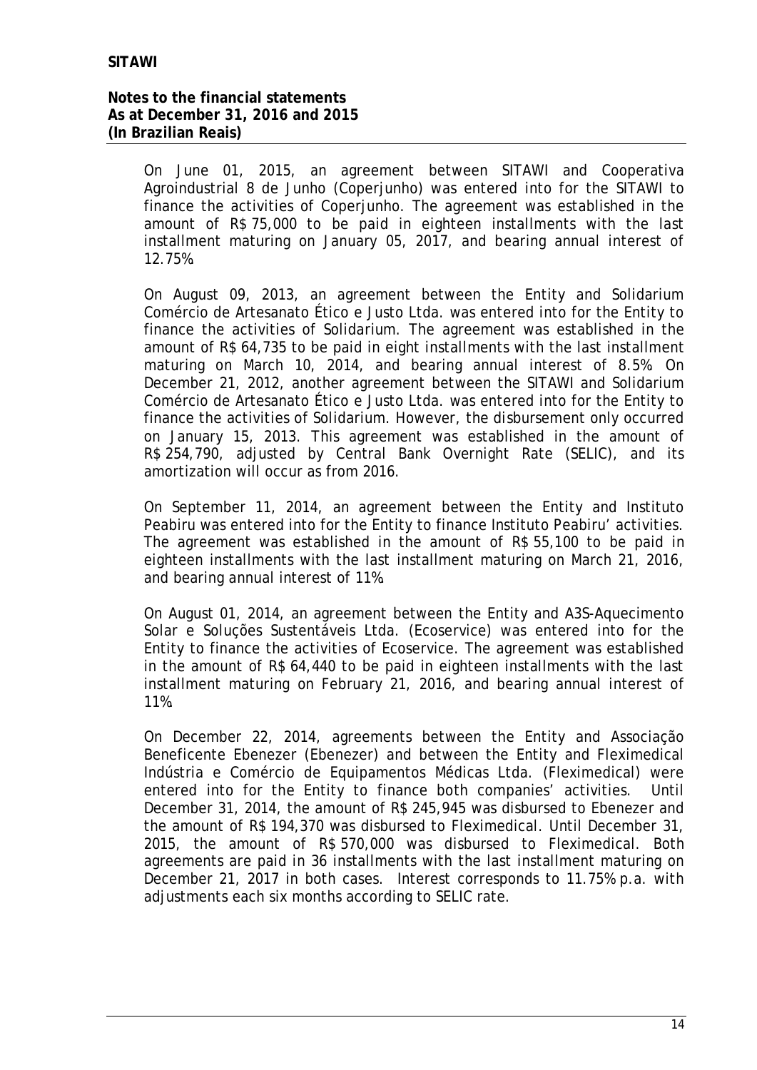> On June 01, 2015, an agreement between SITAWI and Cooperativa Agroindustrial 8 de Junho (Coperjunho) was entered into for the SITAWI to finance the activities of Coperjunho. The agreement was established in the amount of R\$ 75,000 to be paid in eighteen installments with the last installment maturing on January 05, 2017, and bearing annual interest of 12.75%.

> On August 09, 2013, an agreement between the Entity and Solidarium Comércio de Artesanato Ético e Justo Ltda. was entered into for the Entity to finance the activities of Solidarium. The agreement was established in the amount of R\$ 64,735 to be paid in eight installments with the last installment maturing on March 10, 2014, and bearing annual interest of 8.5%. On December 21, 2012, another agreement between the SITAWI and Solidarium Comércio de Artesanato Ético e Justo Ltda. was entered into for the Entity to finance the activities of Solidarium. However, the disbursement only occurred on January 15, 2013. This agreement was established in the amount of R\$ 254,790, adjusted by Central Bank Overnight Rate (SELIC), and its amortization will occur as from 2016.

> On September 11, 2014, an agreement between the Entity and Instituto Peabiru was entered into for the Entity to finance Instituto Peabiru' activities. The agreement was established in the amount of R\$ 55,100 to be paid in eighteen installments with the last installment maturing on March 21, 2016, and bearing annual interest of 11%.

> On August 01, 2014, an agreement between the Entity and A3S-Aquecimento Solar e Soluções Sustentáveis Ltda. (Ecoservice) was entered into for the Entity to finance the activities of Ecoservice. The agreement was established in the amount of R\$ 64,440 to be paid in eighteen installments with the last installment maturing on February 21, 2016, and bearing annual interest of 11%.

> On December 22, 2014, agreements between the Entity and Associação Beneficente Ebenezer (Ebenezer) and between the Entity and Fleximedical Indústria e Comércio de Equipamentos Médicas Ltda. (Fleximedical) were entered into for the Entity to finance both companies' activities. Until December 31, 2014, the amount of R\$ 245,945 was disbursed to Ebenezer and the amount of R\$ 194,370 was disbursed to Fleximedical. Until December 31, 2015, the amount of R\$ 570,000 was disbursed to Fleximedical. Both agreements are paid in 36 installments with the last installment maturing on December 21, 2017 in both cases. Interest corresponds to 11.75% p.a. with adjustments each six months according to SELIC rate.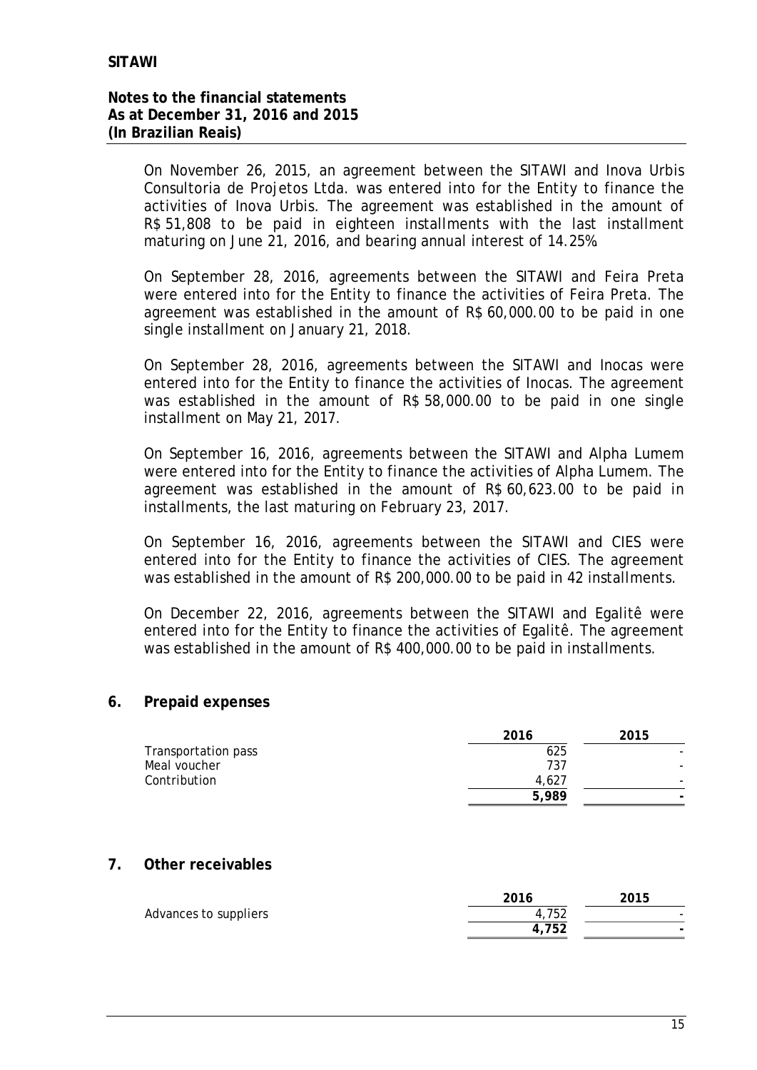> On November 26, 2015, an agreement between the SITAWI and Inova Urbis Consultoria de Projetos Ltda. was entered into for the Entity to finance the activities of Inova Urbis. The agreement was established in the amount of R\$ 51,808 to be paid in eighteen installments with the last installment maturing on June 21, 2016, and bearing annual interest of 14.25%.

> On September 28, 2016, agreements between the SITAWI and Feira Preta were entered into for the Entity to finance the activities of Feira Preta. The agreement was established in the amount of R\$ 60,000.00 to be paid in one single installment on January 21, 2018.

> On September 28, 2016, agreements between the SITAWI and Inocas were entered into for the Entity to finance the activities of Inocas. The agreement was established in the amount of R\$ 58,000.00 to be paid in one single installment on May 21, 2017.

> On September 16, 2016, agreements between the SITAWI and Alpha Lumem were entered into for the Entity to finance the activities of Alpha Lumem. The agreement was established in the amount of R\$ 60,623.00 to be paid in installments, the last maturing on February 23, 2017.

> On September 16, 2016, agreements between the SITAWI and CIES were entered into for the Entity to finance the activities of CIES. The agreement was established in the amount of R\$ 200,000.00 to be paid in 42 installments.

> On December 22, 2016, agreements between the SITAWI and Egalitê were entered into for the Entity to finance the activities of Egalitê. The agreement was established in the amount of R\$ 400,000.00 to be paid in installments.

**6. Prepaid expenses**

|                     | 2016  | 2015 |
|---------------------|-------|------|
| Transportation pass | 625   |      |
| Meal voucher        | 737   |      |
| Contribution        | 4.627 |      |
|                     | 5.989 |      |

#### **7. Other receivables**

|                       | 2016  | 2015 |
|-----------------------|-------|------|
| Advances to suppliers | 4,752 | -    |
|                       | 4,752 | -    |
|                       |       |      |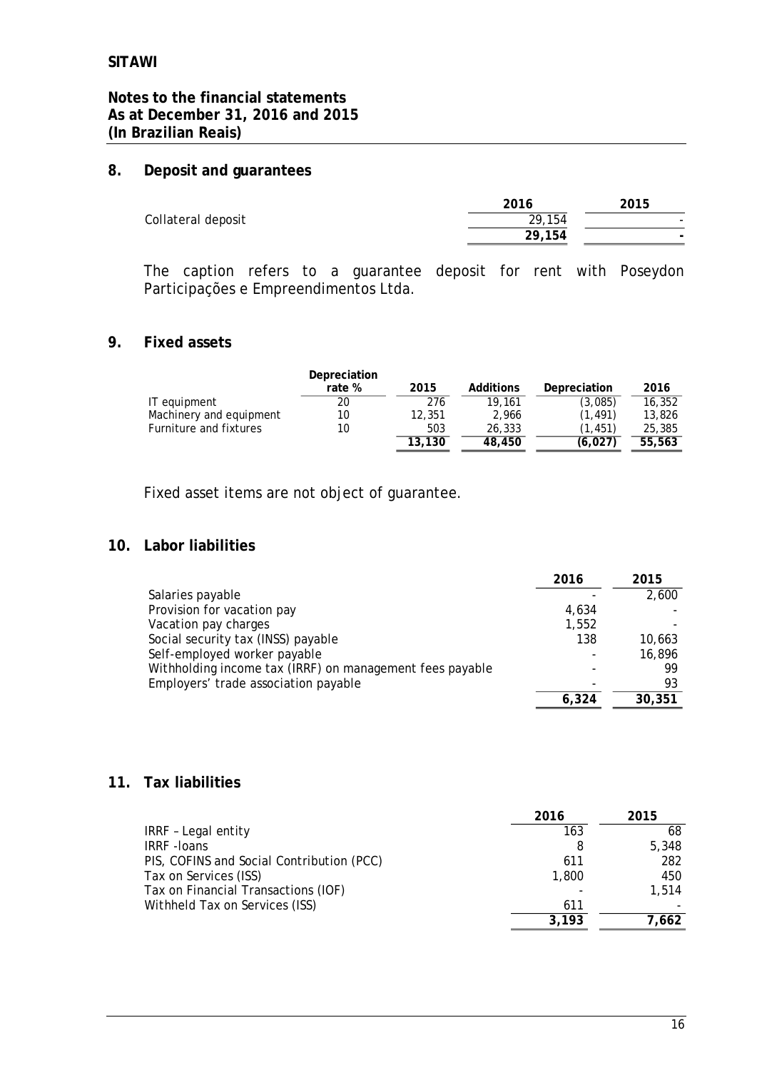#### **Notes to the financial statements As at December 31, 2016 and 2015 (In Brazilian Reais)**

## **8. Deposit and guarantees**

|                    | 2016   | 2015 |
|--------------------|--------|------|
| Collateral deposit | 29,154 | -    |
|                    | 29,154 | -    |
|                    |        |      |

The caption refers to a guarantee deposit for rent with Poseydon Participações e Empreendimentos Ltda.

#### **9. Fixed assets**

|                         | Depreciation |        |           |              |        |
|-------------------------|--------------|--------|-----------|--------------|--------|
|                         | rate %       | 2015   | Additions | Depreciation | 2016   |
| IT equipment            | 20           | 276    | 19.161    | (3,085)      | 16,352 |
| Machinery and equipment | 10           | 12,351 | 2.966     | (1.491)      | 13,826 |
| Furniture and fixtures  | 10           | 503    | 26,333    | (1,451)      | 25,385 |
|                         |              | 13,130 | 48,450    | (6,027)      | 55,563 |

Fixed asset items are not object of guarantee.

#### **10. Labor liabilities**

|                                                          | 2016  | 2015   |
|----------------------------------------------------------|-------|--------|
| Salaries payable                                         |       | 2,600  |
| Provision for vacation pay                               | 4.634 |        |
| Vacation pay charges                                     | 1,552 |        |
| Social security tax (INSS) payable                       | 138   | 10.663 |
| Self-employed worker payable                             |       | 16,896 |
| Withholding income tax (IRRF) on management fees payable |       | 99     |
| Employers' trade association payable                     |       | 93     |
|                                                          | 6.324 | 30,351 |

#### **11. Tax liabilities**

|                                           | 2016  | 2015  |
|-------------------------------------------|-------|-------|
| IRRF - Legal entity                       | 163   | 68    |
| IRRF - Ioans                              | 8     | 5,348 |
| PIS, COFINS and Social Contribution (PCC) | 611   | 282   |
| Tax on Services (ISS)                     | 1,800 | 450   |
| Tax on Financial Transactions (IOF)       |       | 1.514 |
| Withheld Tax on Services (ISS)            | 611   |       |
|                                           | 3.193 | 7.662 |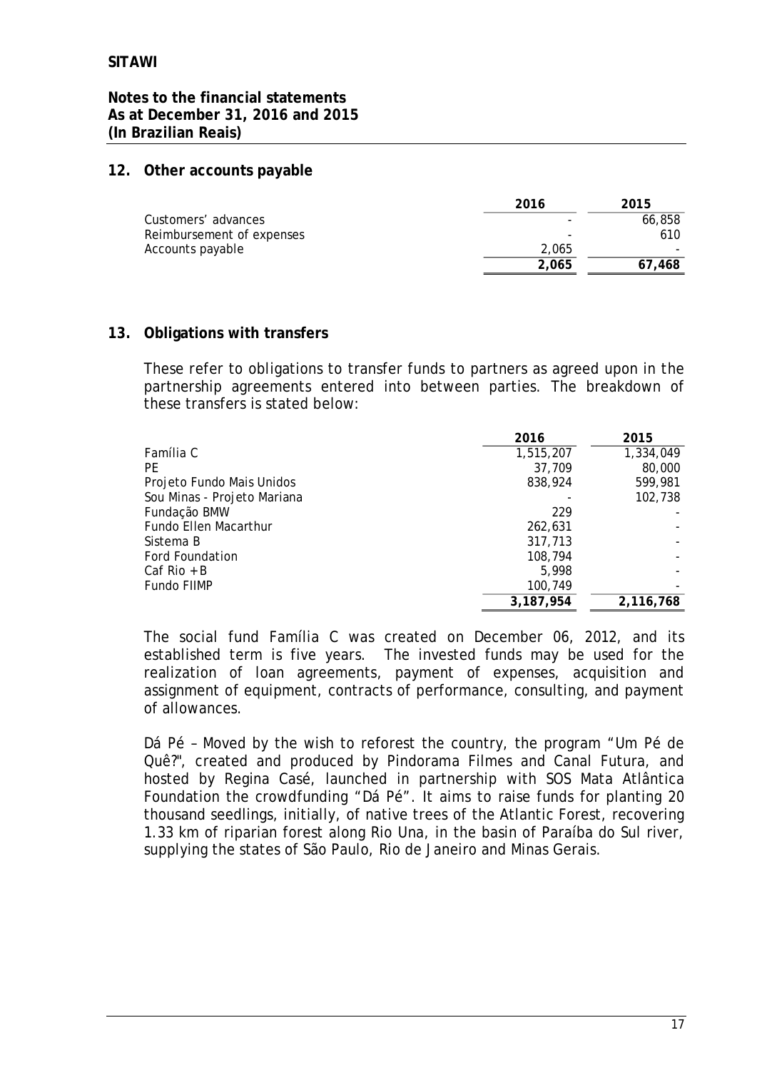#### **Notes to the financial statements As at December 31, 2016 and 2015 (In Brazilian Reais)**

#### **12. Other accounts payable**

|                           | 2016  | 2015   |
|---------------------------|-------|--------|
| Customers' advances       |       | 66,858 |
| Reimbursement of expenses |       | 610    |
| Accounts payable          | 2.065 |        |
|                           | 2.065 | 67.468 |
|                           |       |        |

#### **13. Obligations with transfers**

These refer to obligations to transfer funds to partners as agreed upon in the partnership agreements entered into between parties. The breakdown of these transfers is stated below:

|                              | 2016        | 2015      |
|------------------------------|-------------|-----------|
| Família C                    | 1,515,207   | 1,334,049 |
| <b>PF</b>                    | 37,709      | 80,000    |
| Projeto Fundo Mais Unidos    | 838,924     | 599,981   |
| Sou Minas - Projeto Mariana  |             | 102,738   |
| Fundação BMW                 | 229         |           |
| <b>Fundo Ellen Macarthur</b> | 262,631     |           |
| Sistema B                    | 317,713     |           |
| Ford Foundation              | 108,794     |           |
| $Caf Rio + B$                | 5.998       |           |
| Fundo FIIMP                  | 100,749     |           |
|                              | 3, 187, 954 | 2.116.768 |

The social fund Família C was created on December 06, 2012, and its established term is five years. The invested funds may be used for the realization of loan agreements, payment of expenses, acquisition and assignment of equipment, contracts of performance, consulting, and payment of allowances.

Dá Pé – Moved by the wish to reforest the country, the program "Um Pé de Quê?", created and produced by Pindorama Filmes and Canal Futura, and hosted by Regina Casé, launched in partnership with SOS Mata Atlântica Foundation the crowdfunding "Dá Pé". It aims to raise funds for planting 20 thousand seedlings, initially, of native trees of the Atlantic Forest, recovering 1.33 km of riparian forest along Rio Una, in the basin of Paraíba do Sul river, supplying the states of São Paulo, Rio de Janeiro and Minas Gerais.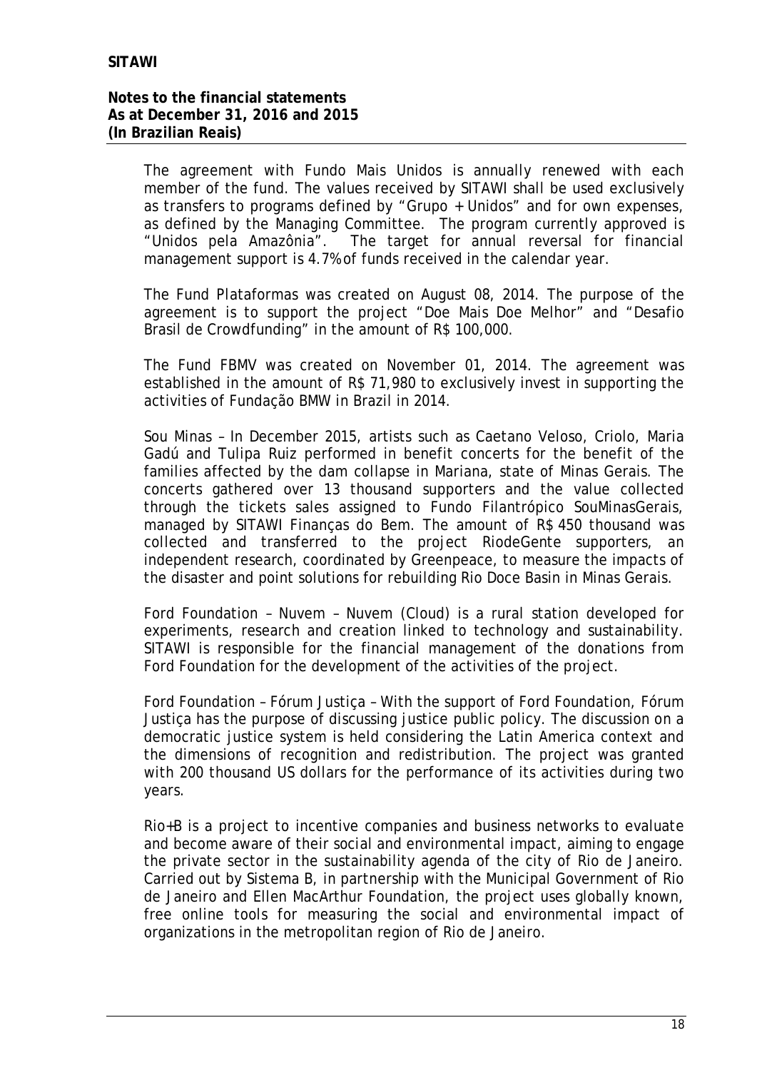The agreement with Fundo Mais Unidos is annually renewed with each member of the fund. The values received by SITAWI shall be used exclusively as transfers to programs defined by "Grupo + Unidos" and for own expenses, as defined by the Managing Committee. The program currently approved is "Unidos pela Amazônia". The target for annual reversal for financial management support is 4.7% of funds received in the calendar year.

The Fund Plataformas was created on August 08, 2014. The purpose of the agreement is to support the project "Doe Mais Doe Melhor" and "Desafio Brasil de Crowdfunding" in the amount of R\$ 100,000.

The Fund FBMV was created on November 01, 2014. The agreement was established in the amount of R\$ 71,980 to exclusively invest in supporting the activities of Fundação BMW in Brazil in 2014.

Sou Minas – In December 2015, artists such as Caetano Veloso, Criolo, Maria Gadú and Tulipa Ruiz performed in benefit concerts for the benefit of the families affected by the dam collapse in Mariana, state of Minas Gerais. The concerts gathered over 13 thousand supporters and the value collected through the tickets sales assigned to Fundo Filantrópico SouMinasGerais, managed by SITAWI Finanças do Bem. The amount of R\$ 450 thousand was collected and transferred to the project RiodeGente supporters, an independent research, coordinated by Greenpeace, to measure the impacts of the disaster and point solutions for rebuilding Rio Doce Basin in Minas Gerais.

Ford Foundation – Nuvem – Nuvem (Cloud) is a rural station developed for experiments, research and creation linked to technology and sustainability. SITAWI is responsible for the financial management of the donations from Ford Foundation for the development of the activities of the project.

Ford Foundation – Fórum Justiça – With the support of Ford Foundation, Fórum Justiça has the purpose of discussing justice public policy. The discussion on a democratic justice system is held considering the Latin America context and the dimensions of recognition and redistribution. The project was granted with 200 thousand US dollars for the performance of its activities during two years.

Rio+B is a project to incentive companies and business networks to evaluate and become aware of their social and environmental impact, aiming to engage the private sector in the sustainability agenda of the city of Rio de Janeiro. Carried out by Sistema B, in partnership with the Municipal Government of Rio de Janeiro and Ellen MacArthur Foundation, the project uses globally known, free online tools for measuring the social and environmental impact of organizations in the metropolitan region of Rio de Janeiro.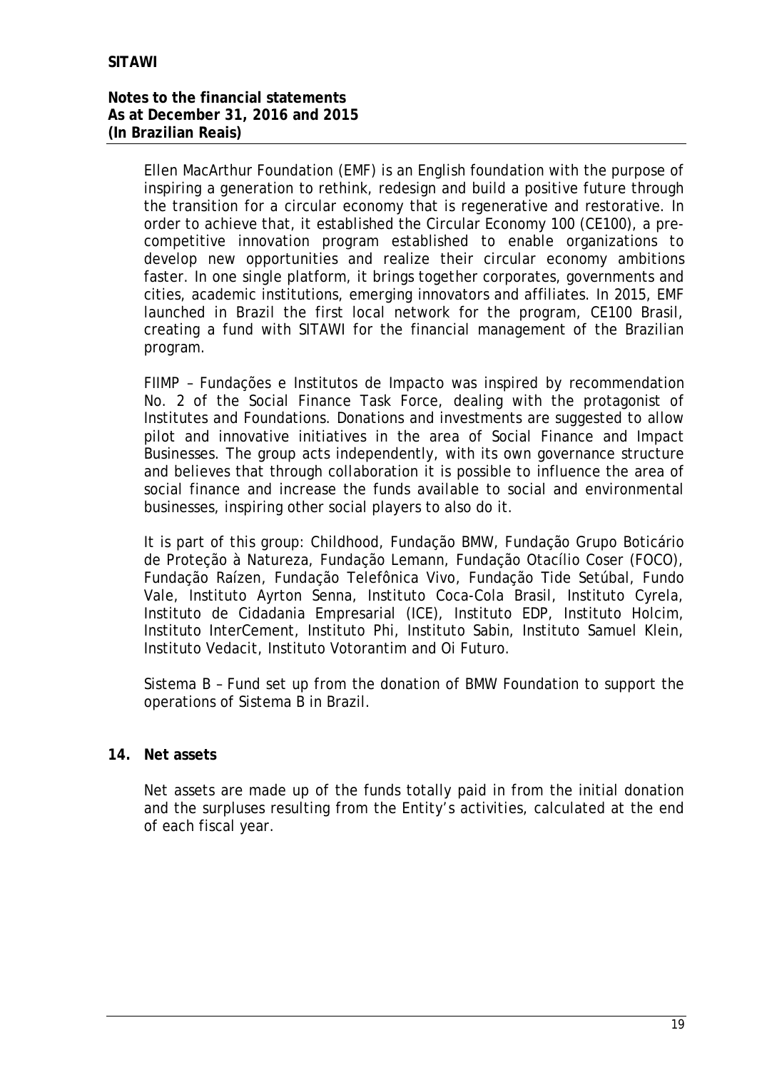Ellen MacArthur Foundation (EMF) is an English foundation with the purpose of inspiring a generation to rethink, redesign and build a positive future through the transition for a circular economy that is regenerative and restorative. In order to achieve that, it established the Circular Economy 100 (CE100), a precompetitive innovation program established to enable organizations to develop new opportunities and realize their circular economy ambitions faster. In one single platform, it brings together corporates, governments and cities, academic institutions, emerging innovators and affiliates. In 2015, EMF launched in Brazil the first local network for the program, CE100 Brasil, creating a fund with SITAWI for the financial management of the Brazilian program.

FIIMP – Fundações e Institutos de Impacto was inspired by recommendation No. 2 of the Social Finance Task Force, dealing with the protagonist of Institutes and Foundations. Donations and investments are suggested to allow pilot and innovative initiatives in the area of Social Finance and Impact Businesses. The group acts independently, with its own governance structure and believes that through collaboration it is possible to influence the area of social finance and increase the funds available to social and environmental businesses, inspiring other social players to also do it.

It is part of this group: Childhood, Fundação BMW, Fundação Grupo Boticário de Proteção à Natureza, Fundação Lemann, Fundação Otacílio Coser (FOCO), Fundação Raízen, Fundação Telefônica Vivo, Fundação Tide Setúbal, Fundo Vale, Instituto Ayrton Senna, Instituto Coca-Cola Brasil, Instituto Cyrela, Instituto de Cidadania Empresarial (ICE), Instituto EDP, Instituto Holcim, Instituto InterCement, Instituto Phi, Instituto Sabin, Instituto Samuel Klein, Instituto Vedacit, Instituto Votorantim and Oi Futuro.

Sistema B – Fund set up from the donation of BMW Foundation to support the operations of Sistema B in Brazil.

#### **14. Net assets**

Net assets are made up of the funds totally paid in from the initial donation and the surpluses resulting from the Entity's activities, calculated at the end of each fiscal year.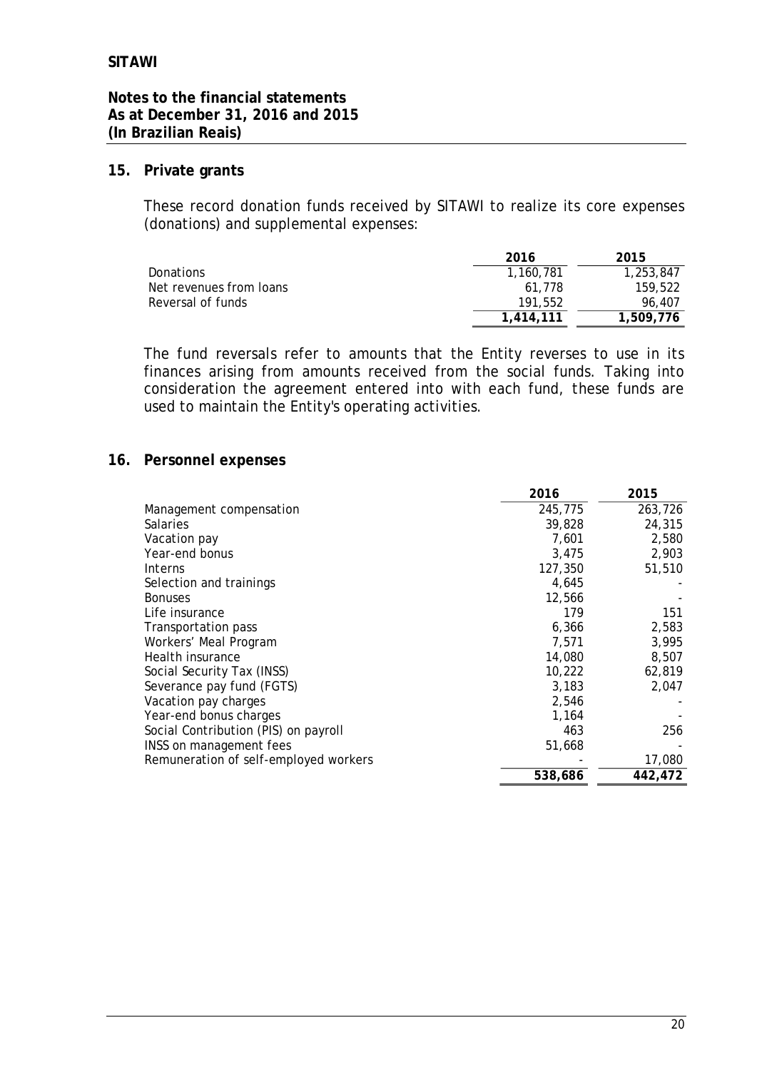#### **15. Private grants**

These record donation funds received by SITAWI to realize its core expenses (donations) and supplemental expenses:

|                         | 2016      | 2015      |
|-------------------------|-----------|-----------|
| Donations               | 1,160,781 | 1,253,847 |
| Net revenues from loans | 61.778    | 159,522   |
| Reversal of funds       | 191,552   | 96.407    |
|                         | 1,414,111 | 1,509,776 |

The fund reversals refer to amounts that the Entity reverses to use in its finances arising from amounts received from the social funds. Taking into consideration the agreement entered into with each fund, these funds are used to maintain the Entity's operating activities.

#### **16. Personnel expenses**

|                                       | 2016    | 2015    |
|---------------------------------------|---------|---------|
| Management compensation               | 245,775 | 263,726 |
| <b>Salaries</b>                       | 39,828  | 24,315  |
| Vacation pay                          | 7,601   | 2,580   |
| Year-end bonus                        | 3,475   | 2,903   |
| <b>Interns</b>                        | 127,350 | 51,510  |
| Selection and trainings               | 4,645   |         |
| <b>Bonuses</b>                        | 12,566  |         |
| Life insurance                        | 179     | 151     |
| Transportation pass                   | 6,366   | 2,583   |
| Workers' Meal Program                 | 7,571   | 3,995   |
| Health insurance                      | 14,080  | 8,507   |
| Social Security Tax (INSS)            | 10,222  | 62,819  |
| Severance pay fund (FGTS)             | 3,183   | 2,047   |
| Vacation pay charges                  | 2,546   |         |
| Year-end bonus charges                | 1,164   |         |
| Social Contribution (PIS) on payroll  | 463     | 256     |
| INSS on management fees               | 51,668  |         |
| Remuneration of self-employed workers |         | 17,080  |
|                                       | 538,686 | 442,472 |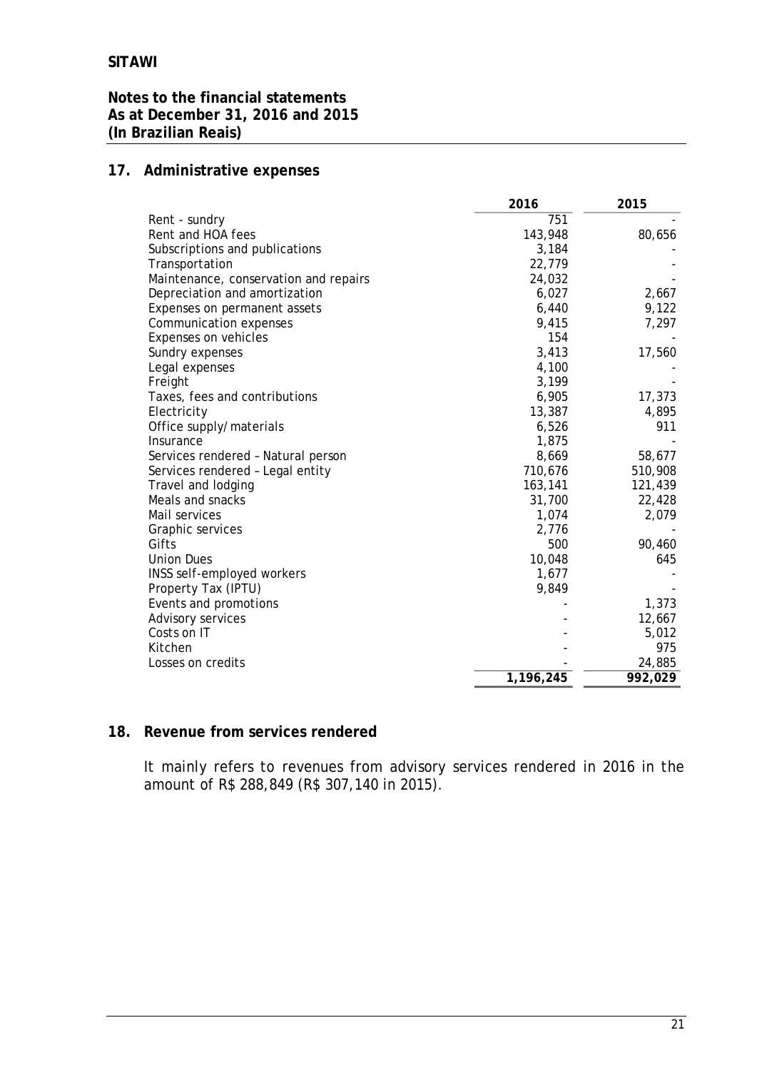#### **Notes to the financial statements As at December 31, 2016 and 2015 (In Brazilian Reais)**

## **17. Administrative expenses**

|                                       | 2016      | 2015    |
|---------------------------------------|-----------|---------|
| Rent - sundry                         | 751       |         |
| Rent and HOA fees                     | 143,948   | 80,656  |
| Subscriptions and publications        | 3,184     |         |
| Transportation                        | 22,779    |         |
| Maintenance, conservation and repairs | 24,032    |         |
| Depreciation and amortization         | 6,027     | 2,667   |
| Expenses on permanent assets          | 6,440     | 9,122   |
| Communication expenses                | 9,415     | 7,297   |
| Expenses on vehicles                  | 154       |         |
| Sundry expenses                       | 3,413     | 17,560  |
| Legal expenses                        | 4,100     |         |
| Freight                               | 3,199     |         |
| Taxes, fees and contributions         | 6,905     | 17,373  |
| Electricity                           | 13,387    | 4,895   |
| Office supply/materials               | 6,526     | 911     |
| Insurance                             | 1,875     |         |
| Services rendered - Natural person    | 8,669     | 58,677  |
| Services rendered - Legal entity      | 710,676   | 510,908 |
| Travel and lodging                    | 163,141   | 121,439 |
| Meals and snacks                      | 31,700    | 22,428  |
| Mail services                         | 1,074     | 2,079   |
| Graphic services                      | 2,776     |         |
| Gifts                                 | 500       | 90,460  |
| <b>Union Dues</b>                     | 10,048    | 645     |
| INSS self-employed workers            | 1,677     |         |
| Property Tax (IPTU)                   | 9,849     |         |
| Events and promotions                 |           | 1,373   |
| Advisory services                     |           | 12,667  |
| Costs on IT                           |           | 5,012   |
| Kitchen                               |           | 975     |
| Losses on credits                     |           | 24,885  |
|                                       | 1,196,245 | 992,029 |

## **18. Revenue from services rendered**

It mainly refers to revenues from advisory services rendered in 2016 in the amount of R\$ 288,849 (R\$ 307,140 in 2015).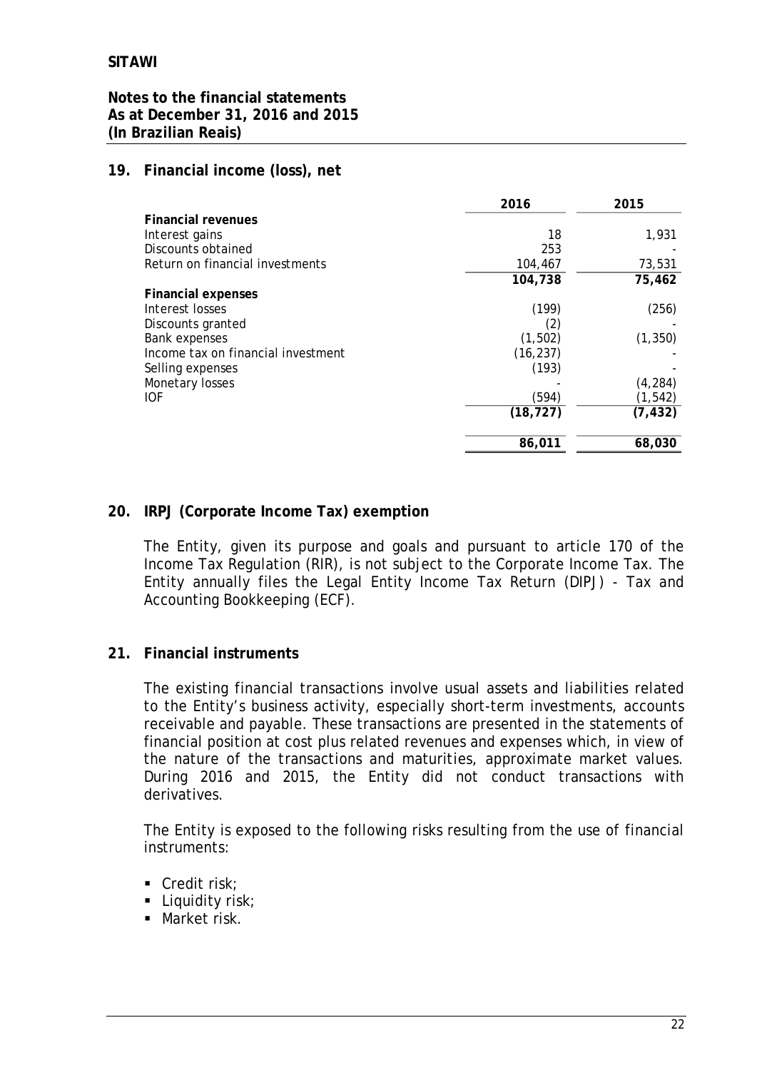#### **Notes to the financial statements As at December 31, 2016 and 2015 (In Brazilian Reais)**

#### **19. Financial income (loss), net**

|                                    | 2016      | 2015     |
|------------------------------------|-----------|----------|
| <b>Financial revenues</b>          |           |          |
| Interest gains                     | 18        | 1,931    |
| Discounts obtained                 | 253       |          |
| Return on financial investments    | 104,467   | 73,531   |
|                                    | 104,738   | 75,462   |
| Financial expenses                 |           |          |
| Interest losses                    | (199)     | (256)    |
| Discounts granted                  | (2)       |          |
| Bank expenses                      | (1, 502)  | (1, 350) |
| Income tax on financial investment | (16, 237) |          |
| Selling expenses                   | (193)     |          |
| Monetary losses                    |           | (4, 284) |
| <b>IOF</b>                         | (594)     | (1, 542) |
|                                    | (18, 727) | (7, 432) |
|                                    | 86,011    | 68,030   |

### **20. IRPJ (Corporate Income Tax) exemption**

The Entity, given its purpose and goals and pursuant to article 170 of the Income Tax Regulation (RIR), is not subject to the Corporate Income Tax. The Entity annually files the Legal Entity Income Tax Return (DIPJ) - Tax and Accounting Bookkeeping (ECF).

**21. Financial instruments**

The existing financial transactions involve usual assets and liabilities related to the Entity's business activity, especially short-term investments, accounts receivable and payable. These transactions are presented in the statements of financial position at cost plus related revenues and expenses which, in view of the nature of the transactions and maturities, approximate market values. During 2016 and 2015, the Entity did not conduct transactions with derivatives.

The Entity is exposed to the following risks resulting from the use of financial instruments:

- Credit risk:
- Liquidity risk:
- Market risk.